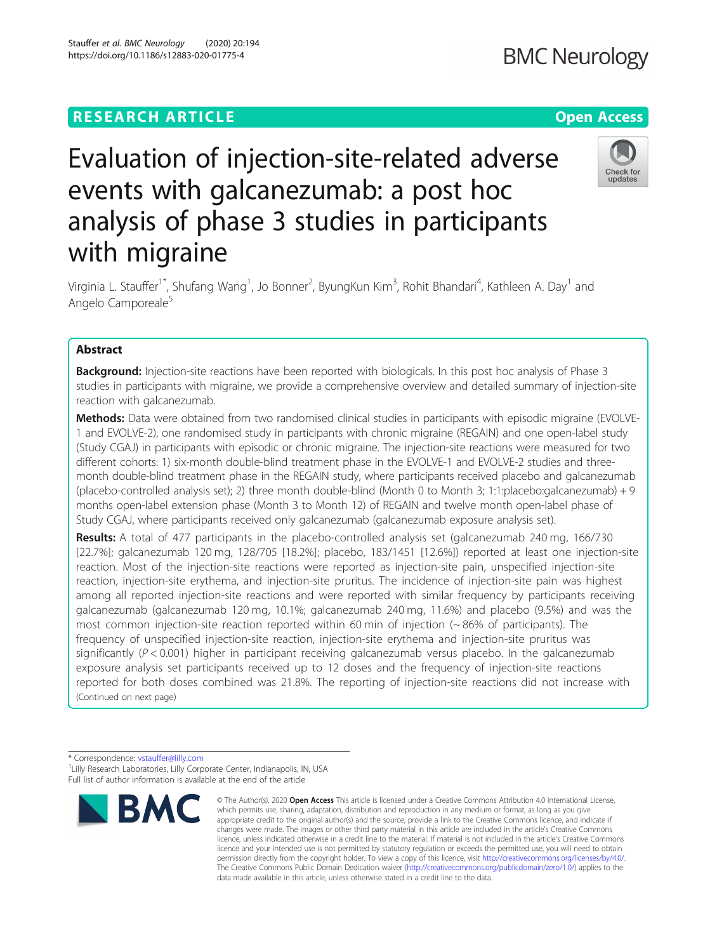# **RESEARCH ARTICLE Example 2014 12:30 The Contract of Contract ACCESS**

# Evaluation of injection-site-related adverse events with galcanezumab: a post hoc analysis of phase 3 studies in participants with migraine

Virginia L. Stauffer<sup>1\*</sup>, Shufang Wang<sup>1</sup>, Jo Bonner<sup>2</sup>, ByungKun Kim<sup>3</sup>, Rohit Bhandari<sup>4</sup>, Kathleen A. Day<sup>1</sup> and Angelo Camporeale<sup>5</sup>

# Abstract

**Background:** Injection-site reactions have been reported with biologicals. In this post hoc analysis of Phase 3 studies in participants with migraine, we provide a comprehensive overview and detailed summary of injection-site reaction with galcanezumab.

Methods: Data were obtained from two randomised clinical studies in participants with episodic migraine (EVOLVE-1 and EVOLVE-2), one randomised study in participants with chronic migraine (REGAIN) and one open-label study (Study CGAJ) in participants with episodic or chronic migraine. The injection-site reactions were measured for two different cohorts: 1) six-month double-blind treatment phase in the EVOLVE-1 and EVOLVE-2 studies and threemonth double-blind treatment phase in the REGAIN study, where participants received placebo and galcanezumab (placebo-controlled analysis set); 2) three month double-blind (Month 0 to Month 3; 1:1:placebo:galcanezumab) + 9 months open-label extension phase (Month 3 to Month 12) of REGAIN and twelve month open-label phase of Study CGAJ, where participants received only galcanezumab (galcanezumab exposure analysis set).

Results: A total of 477 participants in the placebo-controlled analysis set (galcanezumab 240 mg, 166/730 [22.7%]; galcanezumab 120 mg, 128/705 [18.2%]; placebo, 183/1451 [12.6%]) reported at least one injection-site reaction. Most of the injection-site reactions were reported as injection-site pain, unspecified injection-site reaction, injection-site erythema, and injection-site pruritus. The incidence of injection-site pain was highest among all reported injection-site reactions and were reported with similar frequency by participants receiving galcanezumab (galcanezumab 120 mg, 10.1%; galcanezumab 240 mg, 11.6%) and placebo (9.5%) and was the most common injection-site reaction reported within 60 min of injection (~ 86% of participants). The frequency of unspecified injection-site reaction, injection-site erythema and injection-site pruritus was significantly ( $P < 0.001$ ) higher in participant receiving galcanezumab versus placebo. In the galcanezumab exposure analysis set participants received up to 12 doses and the frequency of injection-site reactions reported for both doses combined was 21.8%. The reporting of injection-site reactions did not increase with (Continued on next page)

\* Correspondence: [vstauffer@lilly.com](mailto:vstauffer@lilly.com) <sup>1</sup> <sup>1</sup> Lilly Research Laboratories, Lilly Corporate Center, Indianapolis, IN, USA

Full list of author information is available at the end of the article





<sup>©</sup> The Author(s), 2020 **Open Access** This article is licensed under a Creative Commons Attribution 4.0 International License, **BMC** which permits use, sharing, adaptation, distribution and reproduction in any medium or format, as long as you give appropriate credit to the original author(s) and the source, provide a link to the Creative Commons licence, and indicate if changes were made. The images or other third party material in this article are included in the article's Creative Commons licence, unless indicated otherwise in a credit line to the material. If material is not included in the article's Creative Commons licence and your intended use is not permitted by statutory regulation or exceeds the permitted use, you will need to obtain permission directly from the copyright holder. To view a copy of this licence, visit [http://creativecommons.org/licenses/by/4.0/.](http://creativecommons.org/licenses/by/4.0/) The Creative Commons Public Domain Dedication waiver [\(http://creativecommons.org/publicdomain/zero/1.0/](http://creativecommons.org/publicdomain/zero/1.0/)) applies to the data made available in this article, unless otherwise stated in a credit line to the data.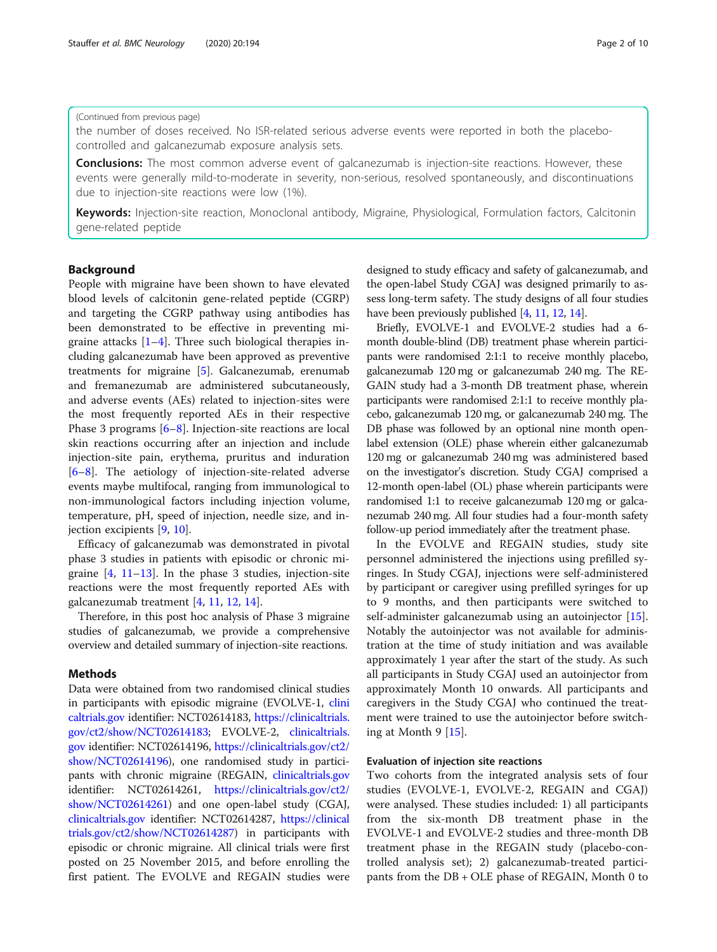### (Continued from previous page)

the number of doses received. No ISR-related serious adverse events were reported in both the placebocontrolled and galcanezumab exposure analysis sets.

**Conclusions:** The most common adverse event of galcanezumab is injection-site reactions. However, these events were generally mild-to-moderate in severity, non-serious, resolved spontaneously, and discontinuations due to injection-site reactions were low (1%).

Keywords: Injection-site reaction, Monoclonal antibody, Migraine, Physiological, Formulation factors, Calcitonin gene-related peptide

# Background

People with migraine have been shown to have elevated blood levels of calcitonin gene-related peptide (CGRP) and targeting the CGRP pathway using antibodies has been demonstrated to be effective in preventing migraine attacks  $[1-4]$  $[1-4]$  $[1-4]$  $[1-4]$  $[1-4]$ . Three such biological therapies including galcanezumab have been approved as preventive treatments for migraine [[5\]](#page-8-0). Galcanezumab, erenumab and fremanezumab are administered subcutaneously, and adverse events (AEs) related to injection-sites were the most frequently reported AEs in their respective Phase 3 programs [[6](#page-8-0)–[8](#page-8-0)]. Injection-site reactions are local skin reactions occurring after an injection and include injection-site pain, erythema, pruritus and induration [[6](#page-8-0)–[8\]](#page-8-0). The aetiology of injection-site-related adverse events maybe multifocal, ranging from immunological to non-immunological factors including injection volume, temperature, pH, speed of injection, needle size, and injection excipients [[9,](#page-9-0) [10\]](#page-9-0).

Efficacy of galcanezumab was demonstrated in pivotal phase 3 studies in patients with episodic or chronic migraine  $[4, 11-13]$  $[4, 11-13]$  $[4, 11-13]$  $[4, 11-13]$  $[4, 11-13]$  $[4, 11-13]$ . In the phase 3 studies, injection-site reactions were the most frequently reported AEs with galcanezumab treatment [\[4](#page-8-0), [11](#page-9-0), [12](#page-9-0), [14\]](#page-9-0).

Therefore, in this post hoc analysis of Phase 3 migraine studies of galcanezumab, we provide a comprehensive overview and detailed summary of injection-site reactions.

# Methods

Data were obtained from two randomised clinical studies in participants with episodic migraine (EVOLVE-1, [clini](http://clinicaltrials.gov) [caltrials.gov](http://clinicaltrials.gov) identifier: NCT02614183, [https://clinicaltrials.](https://clinicaltrials.gov/ct2/show/NCT02614183) [gov/ct2/show/NCT02614183](https://clinicaltrials.gov/ct2/show/NCT02614183); EVOLVE-2, [clinicaltrials.](http://clinicaltrials.gov) [gov](http://clinicaltrials.gov) identifier: NCT02614196, [https://clinicaltrials.gov/ct2/](https://clinicaltrials.gov/ct2/show/NCT02614196) [show/NCT02614196\)](https://clinicaltrials.gov/ct2/show/NCT02614196), one randomised study in participants with chronic migraine (REGAIN, [clinicaltrials.gov](http://clinicaltrials.gov) identifier: NCT02614261, [https://clinicaltrials.gov/ct2/](https://clinicaltrials.gov/ct2/show/NCT02614261) [show/NCT02614261\)](https://clinicaltrials.gov/ct2/show/NCT02614261) and one open-label study (CGAJ, [clinicaltrials.gov](http://clinicaltrials.gov) identifier: NCT02614287, [https://clinical](https://clinicaltrials.gov/ct2/show/NCT02614287) [trials.gov/ct2/show/NCT02614287\)](https://clinicaltrials.gov/ct2/show/NCT02614287) in participants with episodic or chronic migraine. All clinical trials were first posted on 25 November 2015, and before enrolling the first patient. The EVOLVE and REGAIN studies were

designed to study efficacy and safety of galcanezumab, and the open-label Study CGAJ was designed primarily to assess long-term safety. The study designs of all four studies have been previously published [[4,](#page-8-0) [11](#page-9-0), [12](#page-9-0), [14\]](#page-9-0).

Briefly, EVOLVE-1 and EVOLVE-2 studies had a 6 month double-blind (DB) treatment phase wherein participants were randomised 2:1:1 to receive monthly placebo, galcanezumab 120 mg or galcanezumab 240 mg. The RE-GAIN study had a 3-month DB treatment phase, wherein participants were randomised 2:1:1 to receive monthly placebo, galcanezumab 120 mg, or galcanezumab 240 mg. The DB phase was followed by an optional nine month openlabel extension (OLE) phase wherein either galcanezumab 120 mg or galcanezumab 240 mg was administered based on the investigator's discretion. Study CGAJ comprised a 12-month open-label (OL) phase wherein participants were randomised 1:1 to receive galcanezumab 120 mg or galcanezumab 240 mg. All four studies had a four-month safety follow-up period immediately after the treatment phase.

In the EVOLVE and REGAIN studies, study site personnel administered the injections using prefilled syringes. In Study CGAJ, injections were self-administered by participant or caregiver using prefilled syringes for up to 9 months, and then participants were switched to self-administer galcanezumab using an autoinjector [\[15](#page-9-0)]. Notably the autoinjector was not available for administration at the time of study initiation and was available approximately 1 year after the start of the study. As such all participants in Study CGAJ used an autoinjector from approximately Month 10 onwards. All participants and caregivers in the Study CGAJ who continued the treatment were trained to use the autoinjector before switching at Month 9 [[15\]](#page-9-0).

# Evaluation of injection site reactions

Two cohorts from the integrated analysis sets of four studies (EVOLVE-1, EVOLVE-2, REGAIN and CGAJ) were analysed. These studies included: 1) all participants from the six-month DB treatment phase in the EVOLVE-1 and EVOLVE-2 studies and three-month DB treatment phase in the REGAIN study (placebo-controlled analysis set); 2) galcanezumab-treated participants from the DB + OLE phase of REGAIN, Month 0 to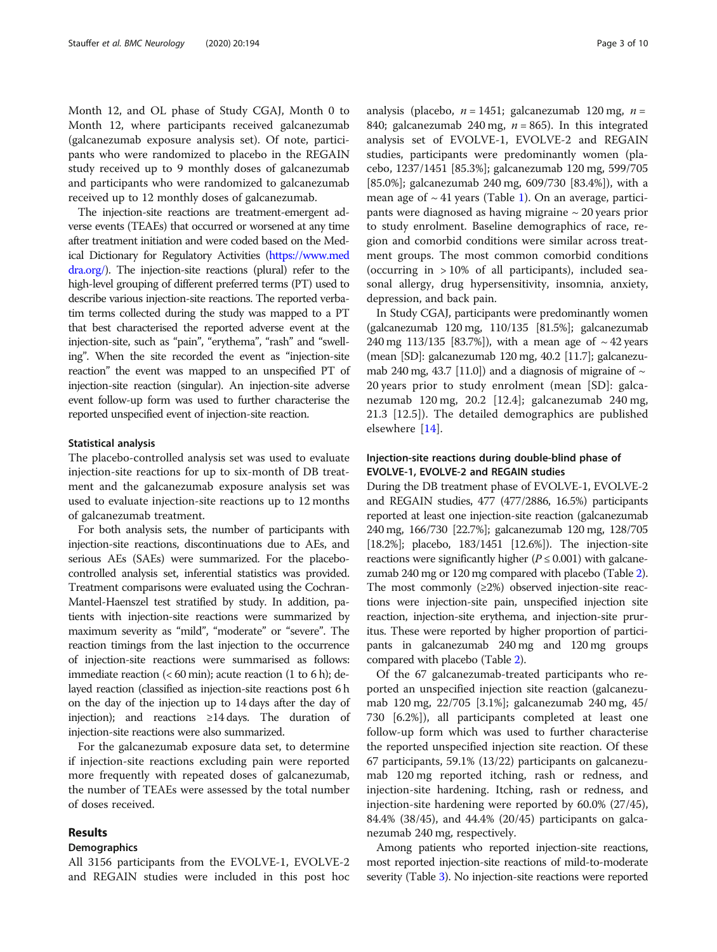Month 12, and OL phase of Study CGAJ, Month 0 to Month 12, where participants received galcanezumab (galcanezumab exposure analysis set). Of note, participants who were randomized to placebo in the REGAIN study received up to 9 monthly doses of galcanezumab and participants who were randomized to galcanezumab received up to 12 monthly doses of galcanezumab.

The injection-site reactions are treatment-emergent adverse events (TEAEs) that occurred or worsened at any time after treatment initiation and were coded based on the Medical Dictionary for Regulatory Activities ([https://www.med](https://www.meddra.org/) [dra.org/](https://www.meddra.org/)). The injection-site reactions (plural) refer to the high-level grouping of different preferred terms (PT) used to describe various injection-site reactions. The reported verbatim terms collected during the study was mapped to a PT that best characterised the reported adverse event at the injection-site, such as "pain", "erythema", "rash" and "swelling". When the site recorded the event as "injection-site reaction" the event was mapped to an unspecified PT of injection-site reaction (singular). An injection-site adverse event follow-up form was used to further characterise the reported unspecified event of injection-site reaction.

#### Statistical analysis

The placebo-controlled analysis set was used to evaluate injection-site reactions for up to six-month of DB treatment and the galcanezumab exposure analysis set was used to evaluate injection-site reactions up to 12 months of galcanezumab treatment.

For both analysis sets, the number of participants with injection-site reactions, discontinuations due to AEs, and serious AEs (SAEs) were summarized. For the placebocontrolled analysis set, inferential statistics was provided. Treatment comparisons were evaluated using the Cochran-Mantel-Haenszel test stratified by study. In addition, patients with injection-site reactions were summarized by maximum severity as "mild", "moderate" or "severe". The reaction timings from the last injection to the occurrence of injection-site reactions were summarised as follows: immediate reaction  $(< 60$  min); acute reaction  $(1 \text{ to } 6 \text{ h})$ ; delayed reaction (classified as injection-site reactions post 6 h on the day of the injection up to 14 days after the day of injection); and reactions ≥14 days. The duration of injection-site reactions were also summarized.

For the galcanezumab exposure data set, to determine if injection-site reactions excluding pain were reported more frequently with repeated doses of galcanezumab, the number of TEAEs were assessed by the total number of doses received.

# Results

#### **Demographics**

analysis (placebo,  $n = 1451$ ; galcanezumab 120 mg,  $n =$ 840; galcanezumab 240 mg,  $n = 865$ ). In this integrated analysis set of EVOLVE-1, EVOLVE-2 and REGAIN studies, participants were predominantly women (placebo, 1237/1451 [85.3%]; galcanezumab 120 mg, 599/705 [85.0%]; galcanezumab 240 mg, 609/730 [83.4%]), with a mean age of  $\sim$  41 years (Table [1\)](#page-3-0). On an average, participants were diagnosed as having migraine  $\sim$  20 years prior to study enrolment. Baseline demographics of race, region and comorbid conditions were similar across treatment groups. The most common comorbid conditions (occurring in  $>10\%$  of all participants), included seasonal allergy, drug hypersensitivity, insomnia, anxiety, depression, and back pain.

In Study CGAJ, participants were predominantly women (galcanezumab 120 mg, 110/135 [81.5%]; galcanezumab 240 mg 113/135 [83.7%]), with a mean age of  $\sim$  42 years (mean [SD]: galcanezumab 120 mg, 40.2 [11.7]; galcanezumab 240 mg, 43.7 [11.0]) and a diagnosis of migraine of  $\sim$ 20 years prior to study enrolment (mean [SD]: galcanezumab 120 mg, 20.2 [12.4]; galcanezumab 240 mg, 21.3 [12.5]). The detailed demographics are published elsewhere [[14](#page-9-0)].

# Injection-site reactions during double-blind phase of EVOLVE-1, EVOLVE-2 and REGAIN studies

During the DB treatment phase of EVOLVE-1, EVOLVE-2 and REGAIN studies, 477 (477/2886, 16.5%) participants reported at least one injection-site reaction (galcanezumab 240 mg, 166/730 [22.7%]; galcanezumab 120 mg, 128/705 [18.2%]; placebo, 183/1451 [12.6%]). The injection-site reactions were significantly higher ( $P \le 0.001$ ) with galcanezumab 240 mg or 120 mg compared with placebo (Table [2](#page-4-0)). The most commonly  $(\geq 2\%)$  observed injection-site reactions were injection-site pain, unspecified injection site reaction, injection-site erythema, and injection-site pruritus. These were reported by higher proportion of participants in galcanezumab 240 mg and 120 mg groups compared with placebo (Table [2](#page-4-0)).

Of the 67 galcanezumab-treated participants who reported an unspecified injection site reaction (galcanezumab 120 mg, 22/705 [3.1%]; galcanezumab 240 mg, 45/ 730 [6.2%]), all participants completed at least one follow-up form which was used to further characterise the reported unspecified injection site reaction. Of these 67 participants, 59.1% (13/22) participants on galcanezumab 120 mg reported itching, rash or redness, and injection-site hardening. Itching, rash or redness, and injection-site hardening were reported by 60.0% (27/45), 84.4% (38/45), and 44.4% (20/45) participants on galcanezumab 240 mg, respectively.

Among patients who reported injection-site reactions, most reported injection-site reactions of mild-to-moderate severity (Table [3\)](#page-5-0). No injection-site reactions were reported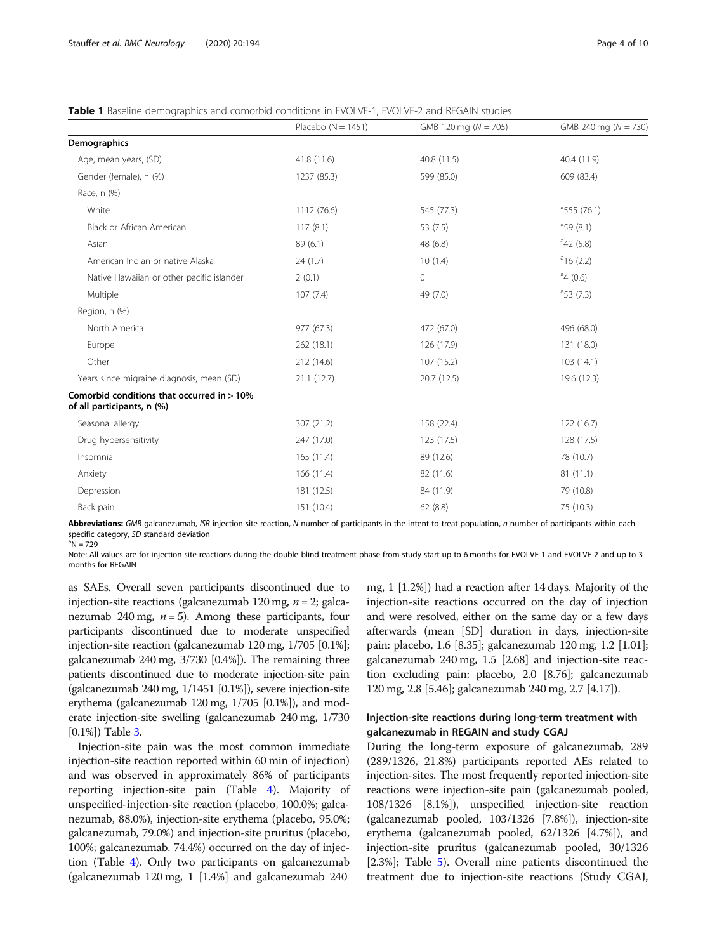<span id="page-3-0"></span>

|  |  | <b>Table 1</b> Baseline demographics and comorbid conditions in EVOLVE-1, EVOLVE-2 and REGAIN studies |  |  |  |  |  |  |  |  |
|--|--|-------------------------------------------------------------------------------------------------------|--|--|--|--|--|--|--|--|
|--|--|-------------------------------------------------------------------------------------------------------|--|--|--|--|--|--|--|--|

|                                                                          | Placebo $(N = 1451)$ | GMB 120 mg ( $N = 705$ ) | GMB 240 mg ( $N = 730$ ) |
|--------------------------------------------------------------------------|----------------------|--------------------------|--------------------------|
| <b>Demographics</b>                                                      |                      |                          |                          |
| Age, mean years, (SD)                                                    | 41.8(11.6)           | 40.8 (11.5)              | 40.4 (11.9)              |
| Gender (female), n (%)                                                   | 1237 (85.3)          | 599 (85.0)               | 609 (83.4)               |
| Race, n (%)                                                              |                      |                          |                          |
| White                                                                    | 1112 (76.6)          | 545 (77.3)               | $^{\circ}$ 555 (76.1)    |
| Black or African American                                                | 117(8.1)             | 53 (7.5)                 | $^{\circ}$ 59 (8.1)      |
| Asian                                                                    | 89 (6.1)             | 48 (6.8)                 | $^{\circ}42(5.8)$        |
| American Indian or native Alaska                                         | 24(1.7)              | 10(1.4)                  | $a$ 16 (2.2)             |
| Native Hawaiian or other pacific islander                                | 2(0.1)               | 0                        | $^{\circ}4(0.6)$         |
| Multiple                                                                 | 107(7.4)             | 49 (7.0)                 | ${}^{a}53(7.3)$          |
| Region, n (%)                                                            |                      |                          |                          |
| North America                                                            | 977 (67.3)           | 472 (67.0)               | 496 (68.0)               |
| Europe                                                                   | 262 (18.1)           | 126 (17.9)               | 131 (18.0)               |
| Other                                                                    | 212 (14.6)           | 107 (15.2)               | 103(14.1)                |
| Years since migraine diagnosis, mean (SD)                                | 21.1(12.7)           | 20.7 (12.5)              | 19.6 (12.3)              |
| Comorbid conditions that occurred in > 10%<br>of all participants, n (%) |                      |                          |                          |
| Seasonal allergy                                                         | 307 (21.2)           | 158 (22.4)               | 122(16.7)                |
| Drug hypersensitivity                                                    | 247 (17.0)           | 123 (17.5)               | 128 (17.5)               |
| Insomnia                                                                 | 165(11.4)            | 89 (12.6)                | 78 (10.7)                |
| Anxiety                                                                  | 166(11.4)            | 82 (11.6)                | 81(11.1)                 |
| Depression                                                               | 181 (12.5)           | 84 (11.9)                | 79 (10.8)                |
| Back pain                                                                | 151 (10.4)           | 62(8.8)                  | 75 (10.3)                |

Abbreviations: GMB galcanezumab, ISR injection-site reaction, N number of participants in the intent-to-treat population, n number of participants within each specific category, SD standard deviation

 $^{\circ}$ N = 729

Note: All values are for injection-site reactions during the double-blind treatment phase from study start up to 6 months for EVOLVE-1 and EVOLVE-2 and up to 3 months for REGAIN

as SAEs. Overall seven participants discontinued due to injection-site reactions (galcanezumab 120 mg,  $n = 2$ ; galcanezumab 240 mg,  $n = 5$ ). Among these participants, four participants discontinued due to moderate unspecified injection-site reaction (galcanezumab 120 mg, 1/705 [0.1%]; galcanezumab 240 mg, 3/730 [0.4%]). The remaining three patients discontinued due to moderate injection-site pain (galcanezumab 240 mg, 1/1451 [0.1%]), severe injection-site erythema (galcanezumab 120 mg, 1/705 [0.1%]), and moderate injection-site swelling (galcanezumab 240 mg, 1/730 [0.1%]) Table [3.](#page-5-0)

Injection-site pain was the most common immediate injection-site reaction reported within 60 min of injection) and was observed in approximately 86% of participants reporting injection-site pain (Table [4\)](#page-6-0). Majority of unspecified-injection-site reaction (placebo, 100.0%; galcanezumab, 88.0%), injection-site erythema (placebo, 95.0%; galcanezumab, 79.0%) and injection-site pruritus (placebo, 100%; galcanezumab. 74.4%) occurred on the day of injection (Table [4\)](#page-6-0). Only two participants on galcanezumab (galcanezumab 120 mg, 1 [1.4%] and galcanezumab 240

mg, 1 [1.2%]) had a reaction after 14 days. Majority of the injection-site reactions occurred on the day of injection and were resolved, either on the same day or a few days afterwards (mean [SD] duration in days, injection-site pain: placebo, 1.6 [8.35]; galcanezumab 120 mg, 1.2 [1.01]; galcanezumab 240 mg, 1.5 [2.68] and injection-site reaction excluding pain: placebo, 2.0 [8.76]; galcanezumab 120 mg, 2.8 [5.46]; galcanezumab 240 mg, 2.7 [4.17]).

# Injection-site reactions during long-term treatment with galcanezumab in REGAIN and study CGAJ

During the long-term exposure of galcanezumab, 289 (289/1326, 21.8%) participants reported AEs related to injection-sites. The most frequently reported injection-site reactions were injection-site pain (galcanezumab pooled, 108/1326 [8.1%]), unspecified injection-site reaction (galcanezumab pooled, 103/1326 [7.8%]), injection-site erythema (galcanezumab pooled, 62/1326 [4.7%]), and injection-site pruritus (galcanezumab pooled, 30/1326 [2.3%]; Table [5](#page-7-0)). Overall nine patients discontinued the treatment due to injection-site reactions (Study CGAJ,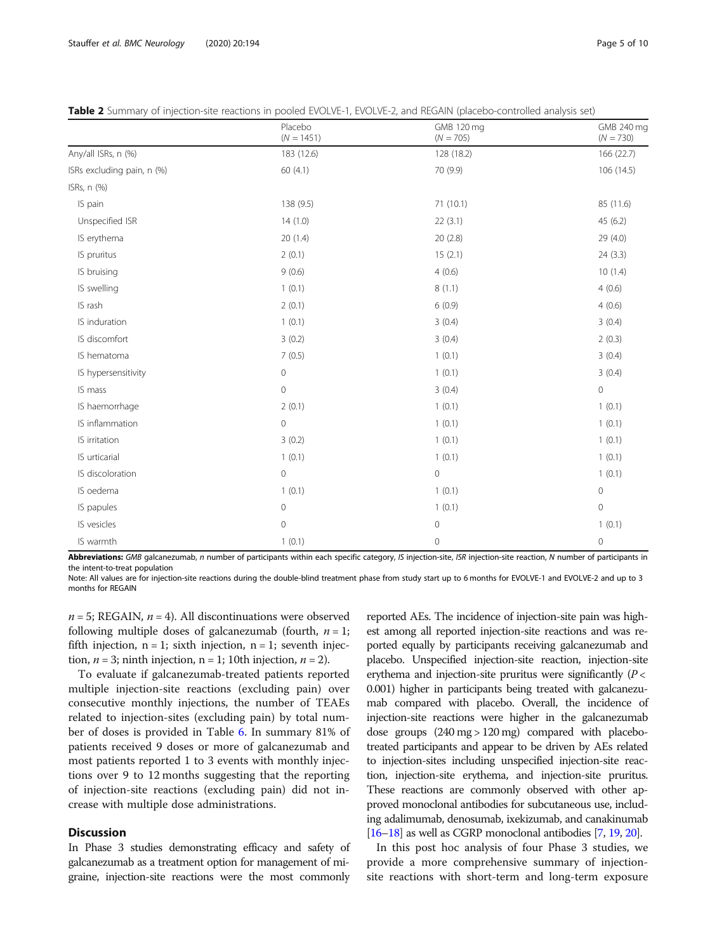|                            | Placebo<br>$(N = 1451)$ | GMB 120 mg<br>$(N = 705)$ | GMB 240 mg<br>$(N = 730)$ |
|----------------------------|-------------------------|---------------------------|---------------------------|
| Any/all ISRs, n (%)        | 183 (12.6)              | 128 (18.2)                | 166 (22.7)                |
| ISRs excluding pain, n (%) | 60(4.1)                 | 70 (9.9)                  | 106 (14.5)                |
| ISRs, n (%)                |                         |                           |                           |
| IS pain                    | 138 (9.5)               | 71(10.1)                  | 85 (11.6)                 |
| Unspecified ISR            | 14(1.0)                 | 22(3.1)                   | 45 (6.2)                  |
| IS erythema                | 20(1.4)                 | 20(2.8)                   | 29(4.0)                   |
| IS pruritus                | 2(0.1)                  | 15(2.1)                   | 24(3.3)                   |
| IS bruising                | 9(0.6)                  | 4(0.6)                    | 10(1.4)                   |
| IS swelling                | 1(0.1)                  | 8(1.1)                    | 4(0.6)                    |
| IS rash                    | 2(0.1)                  | 6(0.9)                    | 4(0.6)                    |
| IS induration              | 1(0.1)                  | 3(0.4)                    | 3(0.4)                    |
| IS discomfort              | 3(0.2)                  | 3(0.4)                    | 2(0.3)                    |
| IS hematoma                | 7(0.5)                  | 1(0.1)                    | 3(0.4)                    |
| IS hypersensitivity        | $\mathbb O$             | 1(0.1)                    | 3(0.4)                    |
| IS mass                    | $\circ$                 | 3(0.4)                    | $\mathbf 0$               |
| IS haemorrhage             | 2(0.1)                  | 1(0.1)                    | 1(0.1)                    |
| IS inflammation            | $\circ$                 | 1(0.1)                    | 1(0.1)                    |
| IS irritation              | 3(0.2)                  | 1(0.1)                    | 1(0.1)                    |
| IS urticarial              | 1(0.1)                  | 1(0.1)                    | 1(0.1)                    |
| IS discoloration           | $\mathbb O$             | $\mathbb O$               | 1(0.1)                    |
| IS oedema                  | 1(0.1)                  | 1(0.1)                    | $\mathbf 0$               |
| IS papules                 | $\mathbf 0$             | 1(0.1)                    | $\mathbf 0$               |
| IS vesicles                | $\mathbf 0$             | $\mathbf 0$               | 1(0.1)                    |
| IS warmth                  | 1(0.1)                  | $\mathbf 0$               | $\mathbf 0$               |

<span id="page-4-0"></span>

| Table 2 Summary of injection-site reactions in pooled EVOLVE-1, EVOLVE-2, and REGAIN (placebo-controlled analysis set) |  |  |  |
|------------------------------------------------------------------------------------------------------------------------|--|--|--|
|------------------------------------------------------------------------------------------------------------------------|--|--|--|

Abbreviations: GMB galcanezumab, n number of participants within each specific category, IS injection-site, ISR injection-site reaction, N number of participants in the intent-to-treat population

Note: All values are for injection-site reactions during the double-blind treatment phase from study start up to 6 months for EVOLVE-1 and EVOLVE-2 and up to 3 months for REGAIN

 $n = 5$ ; REGAIN,  $n = 4$ ). All discontinuations were observed following multiple doses of galcanezumab (fourth,  $n = 1$ ; fifth injection,  $n = 1$ ; sixth injection,  $n = 1$ ; seventh injection,  $n = 3$ ; ninth injection, n = 1; 10th injection,  $n = 2$ ).

To evaluate if galcanezumab-treated patients reported multiple injection-site reactions (excluding pain) over consecutive monthly injections, the number of TEAEs related to injection-sites (excluding pain) by total number of doses is provided in Table [6](#page-7-0). In summary 81% of patients received 9 doses or more of galcanezumab and most patients reported 1 to 3 events with monthly injections over 9 to 12 months suggesting that the reporting of injection-site reactions (excluding pain) did not increase with multiple dose administrations.

# **Discussion**

In Phase 3 studies demonstrating efficacy and safety of galcanezumab as a treatment option for management of migraine, injection-site reactions were the most commonly

reported AEs. The incidence of injection-site pain was highest among all reported injection-site reactions and was reported equally by participants receiving galcanezumab and placebo. Unspecified injection-site reaction, injection-site erythema and injection-site pruritus were significantly  $(P <$ 0.001) higher in participants being treated with galcanezumab compared with placebo. Overall, the incidence of injection-site reactions were higher in the galcanezumab dose groups (240 mg > 120 mg) compared with placebotreated participants and appear to be driven by AEs related to injection-sites including unspecified injection-site reaction, injection-site erythema, and injection-site pruritus. These reactions are commonly observed with other approved monoclonal antibodies for subcutaneous use, including adalimumab, denosumab, ixekizumab, and canakinumab [[16](#page-9-0)–[18\]](#page-9-0) as well as CGRP monoclonal antibodies [[7](#page-8-0), [19,](#page-9-0) [20\]](#page-9-0).

In this post hoc analysis of four Phase 3 studies, we provide a more comprehensive summary of injectionsite reactions with short-term and long-term exposure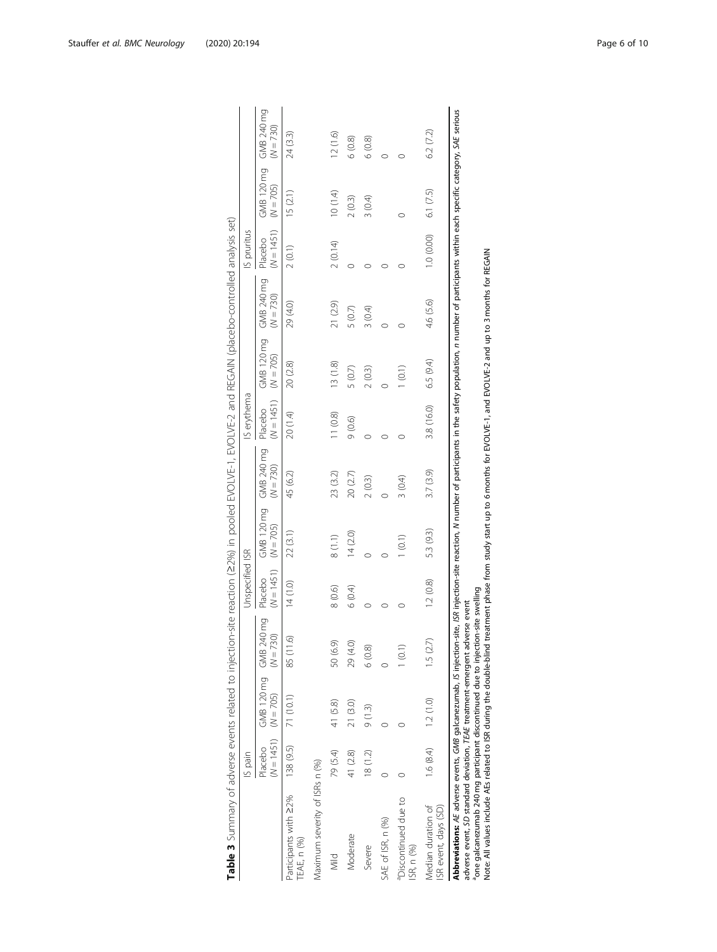<span id="page-5-0"></span>

| Table 3 Summary of adverse events related to injecti                                                                                                                                                                                                                                                                                                                                                                                                                                                                                                                         | IS pain                 |                               |                       | Unspecified ISR         |                           |                           | IS erythema             | on-site reaction (22%) in pooled EVOLVE-1, EVOLVE-2 and REGAIN (placebo-controlled analysis set) |                           | IS pruritus             |                           |                           |
|------------------------------------------------------------------------------------------------------------------------------------------------------------------------------------------------------------------------------------------------------------------------------------------------------------------------------------------------------------------------------------------------------------------------------------------------------------------------------------------------------------------------------------------------------------------------------|-------------------------|-------------------------------|-----------------------|-------------------------|---------------------------|---------------------------|-------------------------|--------------------------------------------------------------------------------------------------|---------------------------|-------------------------|---------------------------|---------------------------|
|                                                                                                                                                                                                                                                                                                                                                                                                                                                                                                                                                                              | $(N = 1451)$<br>Placebo | GMB 120 mg GMB<br>$(N = 705)$ | 240 mg<br>$(N = 730)$ | $(N = 1451)$<br>Placebo | GMB 120 mg<br>$(N = 705)$ | GMB 240 mg<br>$(N = 730)$ | $(N = 1451)$<br>Placebo | GMB 120 mg<br>$(N = 705)$                                                                        | GMB 240 mg<br>$(N = 730)$ | $(N = 1451)$<br>Placebo | GMB 120 mg<br>$(N = 705)$ | GMB 240 mg<br>$(N = 730)$ |
| Participants with 22%<br>TEAE, n (%)                                                                                                                                                                                                                                                                                                                                                                                                                                                                                                                                         | 138 (9.5)               | 71 (10.1)                     | $\odot$<br>85(11      | 14(1.0)                 | 22 (3.1)                  | 45 (6.2)                  | 20 (1.4)                | 20 (2.8)                                                                                         | 29 (4.0)                  | 2(0.1)                  | 15 (2.1)                  | 24 (3.3)                  |
| Maximum severity of ISRs n (%)                                                                                                                                                                                                                                                                                                                                                                                                                                                                                                                                               |                         |                               |                       |                         |                           |                           |                         |                                                                                                  |                           |                         |                           |                           |
| Mild                                                                                                                                                                                                                                                                                                                                                                                                                                                                                                                                                                         | 79 (5.4)                | 41 (5.8)                      | 50 (6.9)              | 8 (0.6)                 | 8(1.1)                    | 23 (3.2)                  | 11(0.8)                 | 13(1.8)                                                                                          | 21 (2.9)                  | 2(0.14)                 | 10(1.4)                   | 12 (1.6)                  |
| Moderate                                                                                                                                                                                                                                                                                                                                                                                                                                                                                                                                                                     | 41 (2.8)                | 21 (3.0)                      | 29 (4.0)              | 6(0.4)                  | 14(2.0)                   | 20 (2.7)                  | 9(0.6)                  | 5(0.7)                                                                                           | 5(0.7)                    |                         | 2(0.3)                    | 6(0.8)                    |
| Severe                                                                                                                                                                                                                                                                                                                                                                                                                                                                                                                                                                       | 18(1.2)                 | 9(1.3)                        | 6(0.8)                |                         |                           | 2(0.3)                    |                         | 2(0.3)                                                                                           | 3(0.4)                    |                         | 3(0.4)                    | $6(0.8)$                  |
| SAE of ISR, n (%)                                                                                                                                                                                                                                                                                                                                                                                                                                                                                                                                                            |                         |                               |                       |                         |                           |                           |                         |                                                                                                  |                           |                         |                           | ◠                         |
| <sup>a</sup> Discontinued due to<br>ISR, n (%)                                                                                                                                                                                                                                                                                                                                                                                                                                                                                                                               |                         |                               | (0.1)                 |                         | (0.1)                     | 3(0.4)                    |                         | 1(0.1)                                                                                           |                           |                         | ⌒                         |                           |
| Median duration of<br>ISR event, days (SD)                                                                                                                                                                                                                                                                                                                                                                                                                                                                                                                                   | 1.6(8.4)                | 1.2(1.0)                      | 1.5(2.7)              | 1.2(0.8)                | 53 (93)                   | 3.7 (3.9)                 | 3.8 (16.0)              | 6.5 (9.4)                                                                                        | 4.6 (5.6)                 | 1.0 (0.00)              | 6.1(7.5)                  | 6.2 (7.2)                 |
| Abbreviations: AE adverse events, GMB galcanezumab, IS injection-site, ISR injection-site reaction, M number of participants in the safety population, n number of participants within each specific category, SAE serious<br>Note: All values include AEs related to ISR during the double-blind treatment phase from study start up to 6 months for EVOLVE-1, and EVOLVE-2 and up to 3 months for REGAIN<br>one galcanezumab 240 mg participant discontinued due to injection-site swelling<br>adverse event, SD standard deviation, TEAE treatment-emergent adverse event |                         |                               |                       |                         |                           |                           |                         |                                                                                                  |                           |                         |                           |                           |

Table 3 Summary of adverse events related to injection-site reaction (22%) in pooled EVOLVE-1, EVOLVE-2 and REGAIN (placebo-controlled analysis set)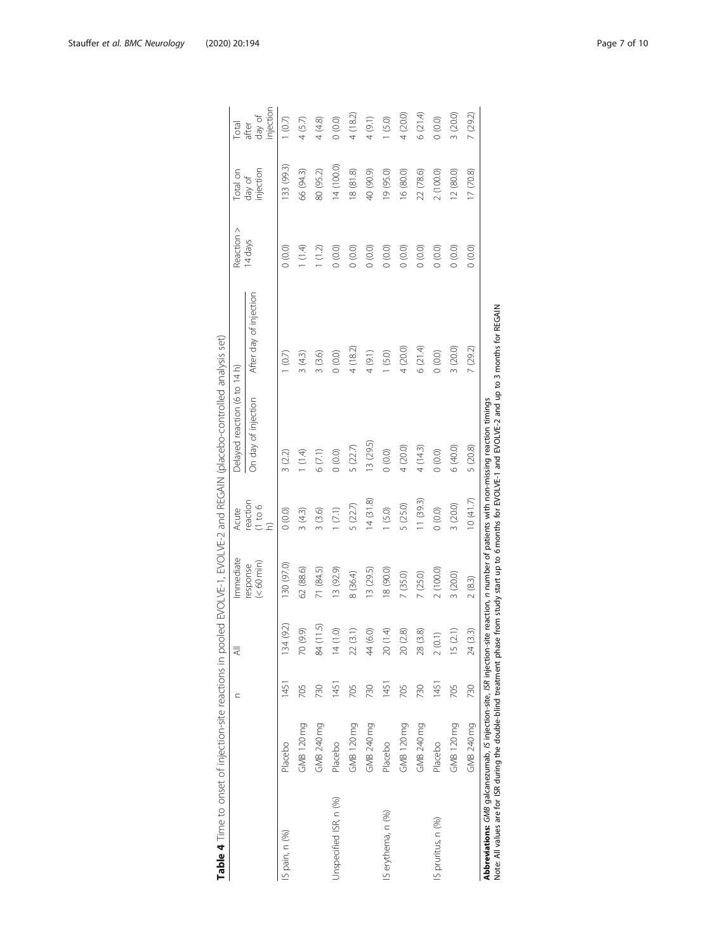<span id="page-6-0"></span>

|                                                                                                                                                                                                                                                                                                         |            | $\subset$      | $\overline{\overline{z}}$     | Immediate                | Acute                      | Delayed reaction (6 to 14 h) |                        | Reaction > | Total on            | <b>Total</b>                 |
|---------------------------------------------------------------------------------------------------------------------------------------------------------------------------------------------------------------------------------------------------------------------------------------------------------|------------|----------------|-------------------------------|--------------------------|----------------------------|------------------------------|------------------------|------------|---------------------|------------------------------|
|                                                                                                                                                                                                                                                                                                         |            |                |                               | $(< 60$ min)<br>response | reaction<br>$\frac{6}{10}$ | On day of injection          | After day of injection | l4 days    | injection<br>day of | injection<br>day of<br>after |
| IS pain, n (%)                                                                                                                                                                                                                                                                                          | Placebo    | 1451           | (9.2)<br>$\stackrel{\sim}{=}$ | 30 (97.0)                | (0.0)                      | 3(2.2)                       | (0.7)                  | (0.0)      | 133 (99.3)          | 1(0.7)                       |
|                                                                                                                                                                                                                                                                                                         | GMB 120 mg | 705            | (9.9)<br>R                    | 62 (88.6)                | 3(4.3)                     | 1(1.4)                       | 3(4.3)                 | 1(1.4)     | 66 (94.3)           | 4(5.7)                       |
|                                                                                                                                                                                                                                                                                                         | GMB 240 mg | 730            | (11.5)<br>84                  | 71 (84.5)                | 3(3.6)                     | 6(7.1)                       | 3(3.6)                 | 1(1.2)     | 80 (95.2)           | 4(4.8)                       |
| Unspecified ISR, n (%)                                                                                                                                                                                                                                                                                  | Placebo    | 1451           | (1.0)<br>$\overline{4}$       | 13 (92.9)                | (7.1)                      | (0.0)                        | (0.0)                  | (0.0)      | 14 (100.0)          | 0(0.0)                       |
|                                                                                                                                                                                                                                                                                                         | GMB 120 mg | 705            | (3.1)<br>22                   | 8 (36.4)                 | 5(22.7)                    | 5(22.7)                      | 4(18.2)                | (0.0)      | (8(81.8))           | 4(18.2)                      |
|                                                                                                                                                                                                                                                                                                         | GMB 240 mg | 730            | (6.0)<br>4                    | 13 (29.5)                | 14(31.8)                   | 13 (29.5)                    | 4(9.1)                 | (0.0)      | 40 (90.9)           | 4(9.1)                       |
| IS erythema, n (%)                                                                                                                                                                                                                                                                                      | Placebo    | 1451           | $\widehat{f}$<br>$\approx$    | 00081                    | (5.0)                      | (0.0) 0                      | 1(5.0)                 | (0.0)      | 19 (95.0)           | 1(5.0)                       |
|                                                                                                                                                                                                                                                                                                         | GMB 120 mg | 705            | (2.8)<br>$\approx$            | 7 (35.0)                 | 5 (25.0)                   | 4 (20.0)                     | 4 (20.0)               | (0.0)      | 16 (80.0)           | 4 (20.0)                     |
|                                                                                                                                                                                                                                                                                                         | GMB 240 mg | 730            | (3.8)<br>$\frac{8}{2}$        | 7 (25.0)                 | (39.3)                     | 4 (14.3)                     | 6(21.4)                | (0.0)      | 22 (78.6)           | 6(21.4)                      |
| IS pruritus, n (%)                                                                                                                                                                                                                                                                                      | Placebo    | $\frac{45}{4}$ | (0.1)<br>$\sim$               | 2 (100.0)                | (0.0) 0                    | (0.0)                        | (0.0)                  | (0.0)      | 2 (100.0)           | (0.0)                        |
|                                                                                                                                                                                                                                                                                                         | GMB 120 mg | 705            | (2.1)                         | 3(20.0)                  | 3(20.0)                    | 6(40.0)                      | 3(20.0)                | (0.0)      | 12(80.0)            | 3(20.0)                      |
|                                                                                                                                                                                                                                                                                                         | GMB 240 mg | 730            | (3.3)<br>24                   | 2(8.3)                   | 10(41.7)                   | 5 (20.8)                     | 7 (29.2)               | (0.0)      | 17(70.8)            | 7 (29.2)                     |
| Note: All values are for ISR during the double-blind treatment phase from study start up to 6 months for EVOLVE-1 and EVOLVE-2 and up to 3 months for REGAIN<br>Abbreviations: GMB galcanezumab, IS injection-site, ISR injection-site reaction, n number of patients with non-missing reaction timings |            |                |                               |                          |                            |                              |                        |            |                     |                              |

Table 4 Time to onset of injection-site reactions in pooled EVOLVE-1, EVOLVE-2 and REGAIN (placebo-controlled analysis set)

Table 4 Time to onset of injection-site reactions in pooled EVOLVE-1, EVOLVE-2 and REGAIN (placebo-controlled analysis set)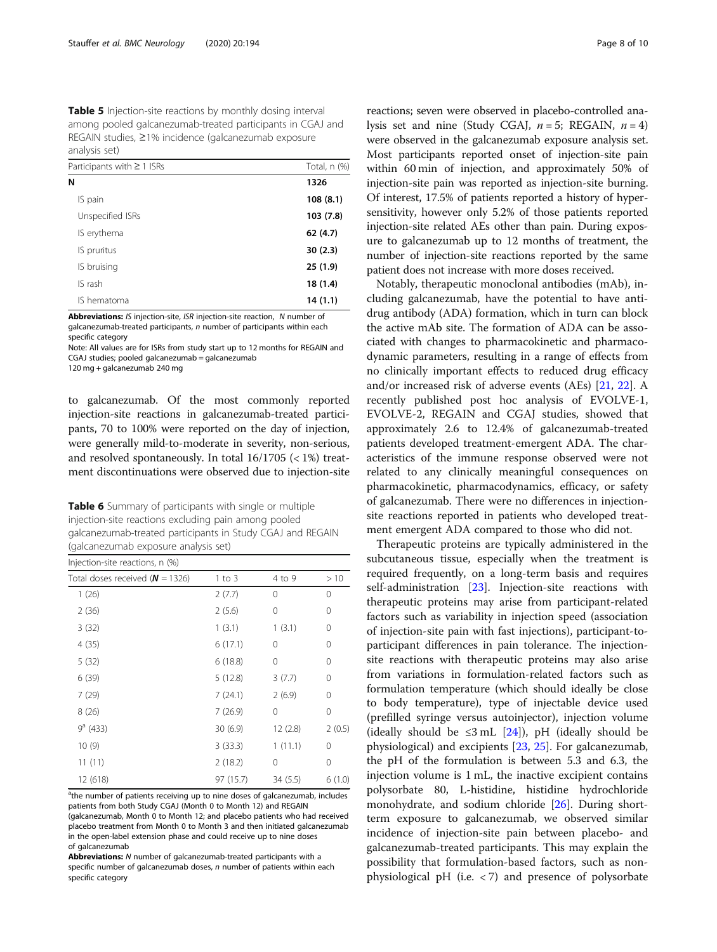<span id="page-7-0"></span>Table 5 Injection-site reactions by monthly dosing interval among pooled galcanezumab-treated participants in CGAJ and REGAIN studies, ≥1% incidence (galcanezumab exposure analysis set)

| Participants with $\geq$ 1 ISRs | Total, n (%) |
|---------------------------------|--------------|
| N                               | 1326         |
| IS pain                         | 108(8.1)     |
| Unspecified ISRs                | 103(7.8)     |
| IS erythema                     | 62(4.7)      |
| IS pruritus                     | 30(2.3)      |
| IS bruising                     | 25(1.9)      |
| IS rash                         | 18 (1.4)     |
| IS hematoma                     | 14(1.1)      |

Abbreviations: /S injection-site, ISR injection-site reaction, N number of galcanezumab-treated participants, n number of participants within each specific category

Note: All values are for ISRs from study start up to 12 months for REGAIN and CGAJ studies; pooled galcanezumab = galcanezumab

120 mg + galcanezumab 240 mg

to galcanezumab. Of the most commonly reported injection-site reactions in galcanezumab-treated participants, 70 to 100% were reported on the day of injection, were generally mild-to-moderate in severity, non-serious, and resolved spontaneously. In total  $16/1705$  (< 1%) treatment discontinuations were observed due to injection-site

Table 6 Summary of participants with single or multiple injection-site reactions excluding pain among pooled galcanezumab-treated participants in Study CGAJ and REGAIN (galcanezumab exposure analysis set)

| Injection-site reactions, n (%)     |            |          |          |
|-------------------------------------|------------|----------|----------|
| Total doses received ( $N = 1326$ ) | $1$ to $3$ | 4 to 9   | >10      |
| 1(26)                               | 2(7.7)     | 0        | 0        |
| 2(36)                               | 2(5.6)     | 0        | 0        |
| 3(32)                               | 1(3.1)     | 1(3.1)   | $\Omega$ |
| 4(35)                               | 6(17.1)    | 0        | 0        |
| 5(32)                               | 6(18.8)    | 0        | 0        |
| 6 (39)                              | 5(12.8)    | 3(7.7)   | 0        |
| 7(29)                               | 7(24.1)    | 2(6.9)   | $\Omega$ |
| 8(26)                               | 7(26.9)    | 0        | 0        |
| $9^a$ (433)                         | 30(6.9)    | 12(2.8)  | 2(0.5)   |
| 10(9)                               | 3(33.3)    | 1(11.1)  | 0        |
| 11(11)                              | 2(18.2)    | $\Omega$ | $\Omega$ |
| 12 (618)                            | 97 (15.7)  | 34 (5.5) | 6(1.0)   |

<sup>a</sup>the number of patients receiving up to nine doses of galcanezumab, includes patients from both Study CGAJ (Month 0 to Month 12) and REGAIN (galcanezumab, Month 0 to Month 12; and placebo patients who had received placebo treatment from Month 0 to Month 3 and then initiated galcanezumab in the open-label extension phase and could receive up to nine doses of galcanezumab

Abbreviations: N number of galcanezumab-treated participants with a specific number of galcanezumab doses, n number of patients within each specific category

reactions; seven were observed in placebo-controlled analysis set and nine (Study CGAJ,  $n = 5$ ; REGAIN,  $n = 4$ ) were observed in the galcanezumab exposure analysis set. Most participants reported onset of injection-site pain within 60 min of injection, and approximately 50% of injection-site pain was reported as injection-site burning. Of interest, 17.5% of patients reported a history of hypersensitivity, however only 5.2% of those patients reported injection-site related AEs other than pain. During exposure to galcanezumab up to 12 months of treatment, the number of injection-site reactions reported by the same patient does not increase with more doses received.

Notably, therapeutic monoclonal antibodies (mAb), including galcanezumab, have the potential to have antidrug antibody (ADA) formation, which in turn can block the active mAb site. The formation of ADA can be associated with changes to pharmacokinetic and pharmacodynamic parameters, resulting in a range of effects from no clinically important effects to reduced drug efficacy and/or increased risk of adverse events (AEs) [[21,](#page-9-0) [22](#page-9-0)]. A recently published post hoc analysis of EVOLVE-1, EVOLVE-2, REGAIN and CGAJ studies, showed that approximately 2.6 to 12.4% of galcanezumab-treated patients developed treatment-emergent ADA. The characteristics of the immune response observed were not related to any clinically meaningful consequences on pharmacokinetic, pharmacodynamics, efficacy, or safety of galcanezumab. There were no differences in injectionsite reactions reported in patients who developed treatment emergent ADA compared to those who did not.

Therapeutic proteins are typically administered in the subcutaneous tissue, especially when the treatment is required frequently, on a long-term basis and requires self-administration [\[23](#page-9-0)]. Injection-site reactions with therapeutic proteins may arise from participant-related factors such as variability in injection speed (association of injection-site pain with fast injections), participant-toparticipant differences in pain tolerance. The injectionsite reactions with therapeutic proteins may also arise from variations in formulation-related factors such as formulation temperature (which should ideally be close to body temperature), type of injectable device used (prefilled syringe versus autoinjector), injection volume (ideally should be  $\leq$ 3 mL [[24](#page-9-0)]), pH (ideally should be physiological) and excipients [[23](#page-9-0), [25](#page-9-0)]. For galcanezumab, the pH of the formulation is between 5.3 and 6.3, the injection volume is 1 mL, the inactive excipient contains polysorbate 80, L-histidine, histidine hydrochloride monohydrate, and sodium chloride [[26\]](#page-9-0). During shortterm exposure to galcanezumab, we observed similar incidence of injection-site pain between placebo- and galcanezumab-treated participants. This may explain the possibility that formulation-based factors, such as nonphysiological pH (i.e.  $\langle$  7) and presence of polysorbate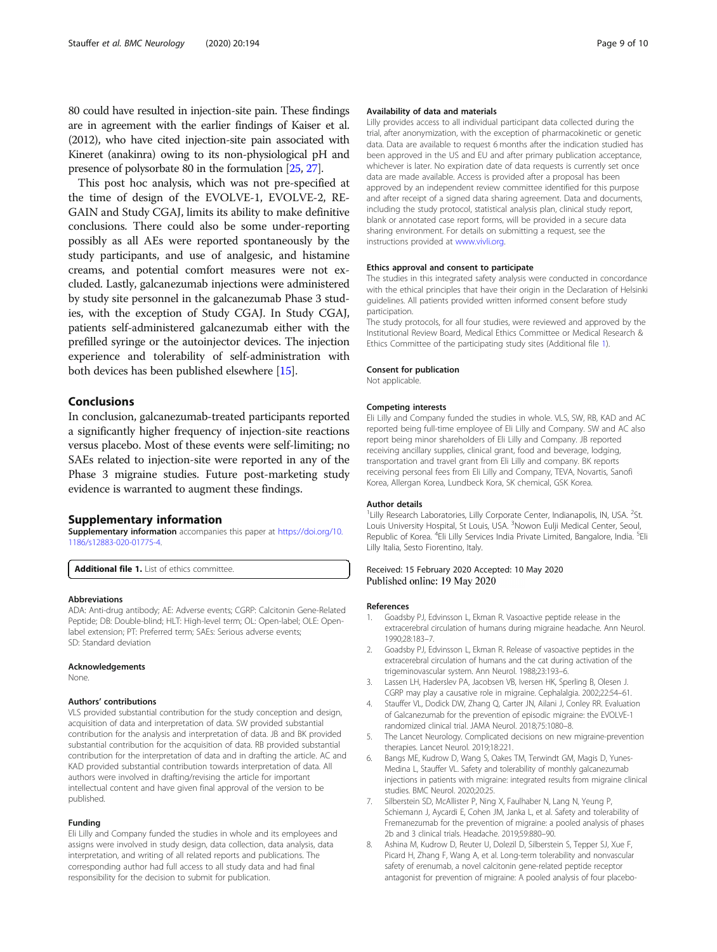<span id="page-8-0"></span>80 could have resulted in injection-site pain. These findings are in agreement with the earlier findings of Kaiser et al. (2012), who have cited injection-site pain associated with Kineret (anakinra) owing to its non-physiological pH and presence of polysorbate 80 in the formulation [\[25,](#page-9-0) [27\]](#page-9-0).

This post hoc analysis, which was not pre-specified at the time of design of the EVOLVE-1, EVOLVE-2, RE-GAIN and Study CGAJ, limits its ability to make definitive conclusions. There could also be some under-reporting possibly as all AEs were reported spontaneously by the study participants, and use of analgesic, and histamine creams, and potential comfort measures were not excluded. Lastly, galcanezumab injections were administered by study site personnel in the galcanezumab Phase 3 studies, with the exception of Study CGAJ. In Study CGAJ, patients self-administered galcanezumab either with the prefilled syringe or the autoinjector devices. The injection experience and tolerability of self-administration with both devices has been published elsewhere [\[15](#page-9-0)].

#### Conclusions

In conclusion, galcanezumab-treated participants reported a significantly higher frequency of injection-site reactions versus placebo. Most of these events were self-limiting; no SAEs related to injection-site were reported in any of the Phase 3 migraine studies. Future post-marketing study evidence is warranted to augment these findings.

#### Supplementary information

Supplementary information accompanies this paper at [https://doi.org/10.](https://doi.org/10.1186/s12883-020-01775-4) [1186/s12883-020-01775-4](https://doi.org/10.1186/s12883-020-01775-4).

Additional file 1. List of ethics committee.

#### Abbreviations

ADA: Anti-drug antibody; AE: Adverse events; CGRP: Calcitonin Gene-Related Peptide; DB: Double-blind; HLT: High-level term; OL: Open-label; OLE: Openlabel extension; PT: Preferred term; SAEs: Serious adverse events; SD: Standard deviation

#### Acknowledgements

None.

# Authors' contributions

VLS provided substantial contribution for the study conception and design, acquisition of data and interpretation of data. SW provided substantial contribution for the analysis and interpretation of data. JB and BK provided substantial contribution for the acquisition of data. RB provided substantial contribution for the interpretation of data and in drafting the article. AC and KAD provided substantial contribution towards interpretation of data. All authors were involved in drafting/revising the article for important intellectual content and have given final approval of the version to be published.

#### Funding

Eli Lilly and Company funded the studies in whole and its employees and assigns were involved in study design, data collection, data analysis, data interpretation, and writing of all related reports and publications. The corresponding author had full access to all study data and had final responsibility for the decision to submit for publication.

#### Availability of data and materials

Lilly provides access to all individual participant data collected during the trial, after anonymization, with the exception of pharmacokinetic or genetic data. Data are available to request 6 months after the indication studied has been approved in the US and EU and after primary publication acceptance, whichever is later. No expiration date of data requests is currently set once data are made available. Access is provided after a proposal has been approved by an independent review committee identified for this purpose and after receipt of a signed data sharing agreement. Data and documents, including the study protocol, statistical analysis plan, clinical study report, blank or annotated case report forms, will be provided in a secure data sharing environment. For details on submitting a request, see the instructions provided at [www.vivli.org.](http://www.vivli.org)

#### Ethics approval and consent to participate

The studies in this integrated safety analysis were conducted in concordance with the ethical principles that have their origin in the Declaration of Helsinki guidelines. All patients provided written informed consent before study participation.

The study protocols, for all four studies, were reviewed and approved by the Institutional Review Board, Medical Ethics Committee or Medical Research & Ethics Committee of the participating study sites (Additional file 1).

#### Consent for publication

Not applicable.

#### Competing interests

Eli Lilly and Company funded the studies in whole. VLS, SW, RB, KAD and AC reported being full-time employee of Eli Lilly and Company. SW and AC also report being minor shareholders of Eli Lilly and Company. JB reported receiving ancillary supplies, clinical grant, food and beverage, lodging, transportation and travel grant from Eli Lilly and company. BK reports receiving personal fees from Eli Lilly and Company, TEVA, Novartis, Sanofi Korea, Allergan Korea, Lundbeck Kora, SK chemical, GSK Korea.

#### Author details

<sup>1</sup> Lilly Research Laboratories, Lilly Corporate Center, Indianapolis, IN, USA. <sup>2</sup>St. Louis University Hospital, St Louis, USA. <sup>3</sup>Nowon Eulji Medical Center, Seoul Republic of Korea. <sup>4</sup>Eli Lilly Services India Private Limited, Bangalore, India. <sup>5</sup>Eli Lilly Italia, Sesto Fiorentino, Italy.

# Received: 15 February 2020 Accepted: 10 May 2020 Published online: 19 May 2020

#### References

- 1. Goadsby PJ, Edvinsson L, Ekman R. Vasoactive peptide release in the extracerebral circulation of humans during migraine headache. Ann Neurol. 1990;28:183–7.
- 2. Goadsby PJ, Edvinsson L, Ekman R. Release of vasoactive peptides in the extracerebral circulation of humans and the cat during activation of the trigeminovascular system. Ann Neurol. 1988;23:193–6.
- 3. Lassen LH, Haderslev PA, Jacobsen VB, Iversen HK, Sperling B, Olesen J. CGRP may play a causative role in migraine. Cephalalgia. 2002;22:54–61.
- 4. Stauffer VL, Dodick DW, Zhang Q, Carter JN, Ailani J, Conley RR. Evaluation of Galcanezumab for the prevention of episodic migraine: the EVOLVE-1 randomized clinical trial. JAMA Neurol. 2018;75:1080–8.
- 5. The Lancet Neurology. Complicated decisions on new migraine-prevention therapies. Lancet Neurol. 2019;18:221.
- 6. Bangs ME, Kudrow D, Wang S, Oakes TM, Terwindt GM, Magis D, Yunes-Medina L, Stauffer VL. Safety and tolerability of monthly galcanezumab injections in patients with migraine: integrated results from migraine clinical studies. BMC Neurol. 2020;20:25.
- 7. Silberstein SD, McAllister P, Ning X, Faulhaber N, Lang N, Yeung P, Schiemann J, Aycardi E, Cohen JM, Janka L, et al. Safety and tolerability of Fremanezumab for the prevention of migraine: a pooled analysis of phases 2b and 3 clinical trials. Headache. 2019;59:880–90.
- 8. Ashina M, Kudrow D, Reuter U, Dolezil D, Silberstein S, Tepper SJ, Xue F, Picard H, Zhang F, Wang A, et al. Long-term tolerability and nonvascular safety of erenumab, a novel calcitonin gene-related peptide receptor antagonist for prevention of migraine: A pooled analysis of four placebo-